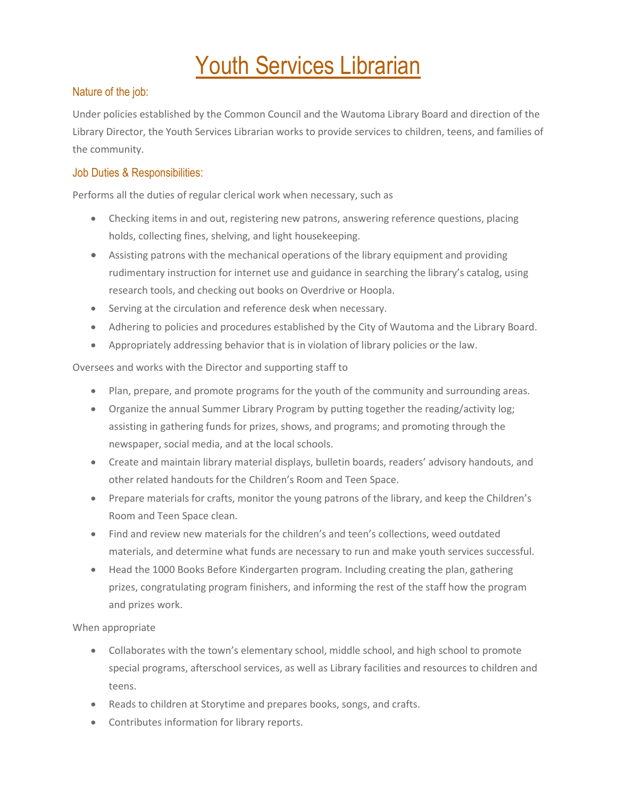# **Youth Services Librarian**

## Nature of the job:

Under policies established by the Common Council and the Wautoma Library Board and direction of the Library Director, the Youth Services Librarian works to provide services to children, teens, and families of the community.

## Job Duties & Responsibilities:

Performs all the duties of regular clerical work when necessary, such as

- Checking items in and out, registering new patrons, answering reference questions, placing holds, collecting fines, shelving, and light housekeeping.
- Assisting patrons with the mechanical operations of the library equipment and providing rudimentary instruction for internet use and guidance in searching the library's catalog, using research tools, and checking out books on Overdrive or Hoopla.
- Serving at the circulation and reference desk when necessary.
- Adhering to policies and procedures established by the City of Wautoma and the Library Board.
- Appropriately addressing behavior that is in violation of library policies or the law.

Oversees and works with the Director and supporting staff to

- Plan, prepare, and promote programs for the youth of the community and surrounding areas.
- Organize the annual Summer Library Program by putting together the reading/activity log; assisting in gathering funds for prizes, shows, and programs; and promoting through the newspaper, social media, and at the local schools.
- Create and maintain library material displays, bulletin boards, readers' advisory handouts, and other related handouts for the Children's Room and Teen Space.
- Prepare materials for crafts, monitor the young patrons of the library, and keep the Children's Room and Teen Space clean.
- Find and review new materials for the children's and teen's collections, weed outdated materials, and determine what funds are necessary to run and make youth services successful.
- Head the 1000 Books Before Kindergarten program. Including creating the plan, gathering prizes, congratulating program finishers, and informing the rest of the staff how the program and prizes work.

When appropriate

- Collaborates with the town's elementary school, middle school, and high school to promote special programs, afterschool services, as well as Library facilities and resources to children and teens.
- Reads to children at Storytime and prepares books, songs, and crafts.
- Contributes information for library reports.